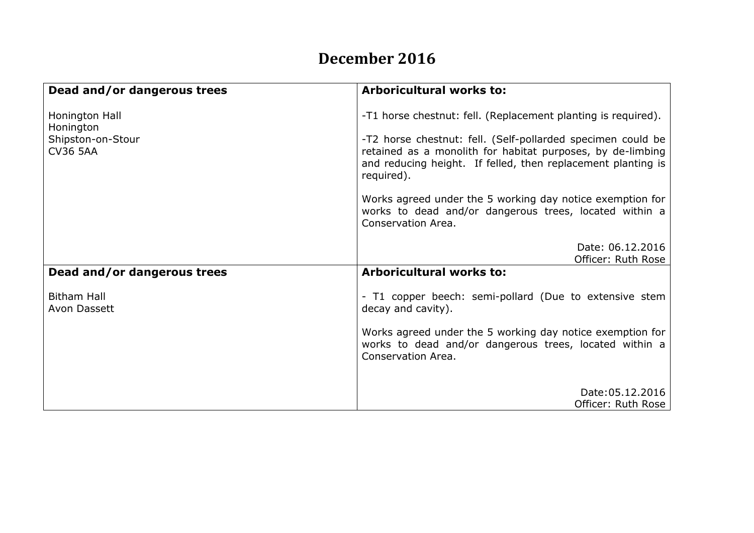## **December 2016**

| Dead and/or dangerous trees          | <b>Arboricultural works to:</b>                                                                                                                                                                         |
|--------------------------------------|---------------------------------------------------------------------------------------------------------------------------------------------------------------------------------------------------------|
| Honington Hall<br>Honington          | -T1 horse chestnut: fell. (Replacement planting is required).                                                                                                                                           |
| Shipston-on-Stour<br><b>CV36 5AA</b> | -T2 horse chestnut: fell. (Self-pollarded specimen could be<br>retained as a monolith for habitat purposes, by de-limbing<br>and reducing height. If felled, then replacement planting is<br>required). |
|                                      | Works agreed under the 5 working day notice exemption for<br>works to dead and/or dangerous trees, located within a<br>Conservation Area.                                                               |
|                                      | Date: 06.12.2016<br>Officer: Ruth Rose                                                                                                                                                                  |
| Dead and/or dangerous trees          | <b>Arboricultural works to:</b>                                                                                                                                                                         |
| <b>Bitham Hall</b><br>Avon Dassett   | - T1 copper beech: semi-pollard (Due to extensive stem<br>decay and cavity).                                                                                                                            |
|                                      | Works agreed under the 5 working day notice exemption for<br>works to dead and/or dangerous trees, located within a<br>Conservation Area.                                                               |
|                                      | Date: 05.12.2016                                                                                                                                                                                        |
|                                      | Officer: Ruth Rose                                                                                                                                                                                      |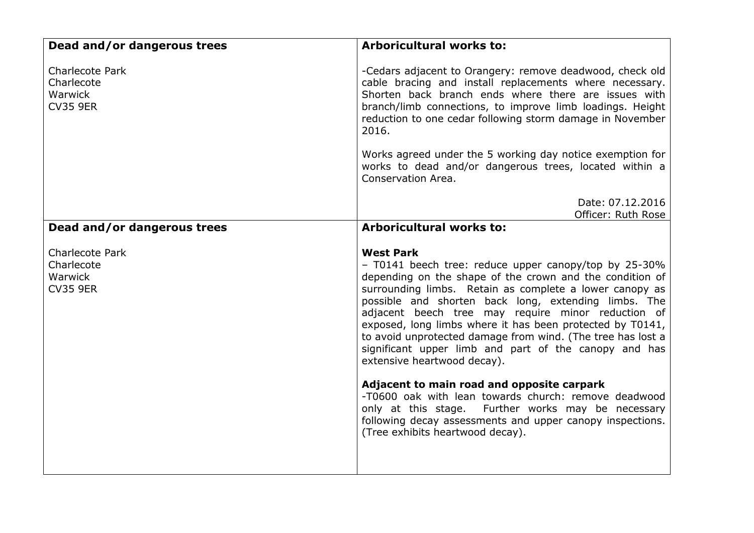| Dead and/or dangerous trees                                        | <b>Arboricultural works to:</b>                                                                                                                                                                                                                                                                                                                                                                                                                                                                                                                                                                                                                                                                                                                                                                 |
|--------------------------------------------------------------------|-------------------------------------------------------------------------------------------------------------------------------------------------------------------------------------------------------------------------------------------------------------------------------------------------------------------------------------------------------------------------------------------------------------------------------------------------------------------------------------------------------------------------------------------------------------------------------------------------------------------------------------------------------------------------------------------------------------------------------------------------------------------------------------------------|
| <b>Charlecote Park</b><br>Charlecote<br>Warwick<br><b>CV35 9ER</b> | -Cedars adjacent to Orangery: remove deadwood, check old<br>cable bracing and install replacements where necessary.<br>Shorten back branch ends where there are issues with<br>branch/limb connections, to improve limb loadings. Height<br>reduction to one cedar following storm damage in November<br>2016.                                                                                                                                                                                                                                                                                                                                                                                                                                                                                  |
|                                                                    | Works agreed under the 5 working day notice exemption for<br>works to dead and/or dangerous trees, located within a<br>Conservation Area.                                                                                                                                                                                                                                                                                                                                                                                                                                                                                                                                                                                                                                                       |
|                                                                    | Date: 07.12.2016<br>Officer: Ruth Rose                                                                                                                                                                                                                                                                                                                                                                                                                                                                                                                                                                                                                                                                                                                                                          |
| Dead and/or dangerous trees                                        | <b>Arboricultural works to:</b>                                                                                                                                                                                                                                                                                                                                                                                                                                                                                                                                                                                                                                                                                                                                                                 |
| Charlecote Park<br>Charlecote<br>Warwick<br><b>CV35 9ER</b>        | <b>West Park</b><br>- T0141 beech tree: reduce upper canopy/top by 25-30%<br>depending on the shape of the crown and the condition of<br>surrounding limbs. Retain as complete a lower canopy as<br>possible and shorten back long, extending limbs. The<br>adjacent beech tree may require minor reduction of<br>exposed, long limbs where it has been protected by T0141,<br>to avoid unprotected damage from wind. (The tree has lost a<br>significant upper limb and part of the canopy and has<br>extensive heartwood decay).<br>Adjacent to main road and opposite carpark<br>-T0600 oak with lean towards church: remove deadwood<br>only at this stage. Further works may be necessary<br>following decay assessments and upper canopy inspections.<br>(Tree exhibits heartwood decay). |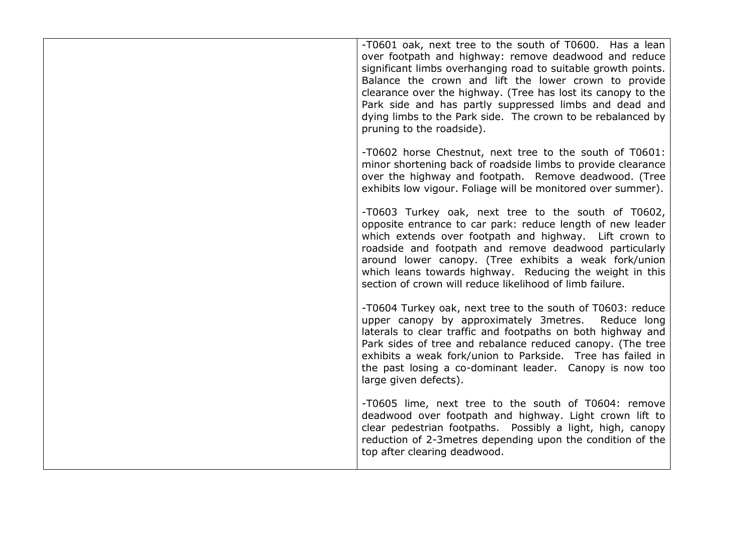| -T0601 oak, next tree to the south of T0600. Has a lean<br>over footpath and highway: remove deadwood and reduce<br>significant limbs overhanging road to suitable growth points.<br>Balance the crown and lift the lower crown to provide<br>clearance over the highway. (Tree has lost its canopy to the<br>Park side and has partly suppressed limbs and dead and<br>dying limbs to the Park side. The crown to be rebalanced by<br>pruning to the roadside). |
|------------------------------------------------------------------------------------------------------------------------------------------------------------------------------------------------------------------------------------------------------------------------------------------------------------------------------------------------------------------------------------------------------------------------------------------------------------------|
| -T0602 horse Chestnut, next tree to the south of T0601:<br>minor shortening back of roadside limbs to provide clearance<br>over the highway and footpath. Remove deadwood. (Tree<br>exhibits low vigour. Foliage will be monitored over summer).                                                                                                                                                                                                                 |
| -T0603 Turkey oak, next tree to the south of T0602,<br>opposite entrance to car park: reduce length of new leader<br>which extends over footpath and highway. Lift crown to<br>roadside and footpath and remove deadwood particularly<br>around lower canopy. (Tree exhibits a weak fork/union<br>which leans towards highway. Reducing the weight in this<br>section of crown will reduce likelihood of limb failure.                                           |
| -T0604 Turkey oak, next tree to the south of T0603: reduce<br>upper canopy by approximately 3metres.<br>Reduce long<br>laterals to clear traffic and footpaths on both highway and<br>Park sides of tree and rebalance reduced canopy. (The tree<br>exhibits a weak fork/union to Parkside. Tree has failed in<br>the past losing a co-dominant leader. Canopy is now too<br>large given defects).                                                               |
| -T0605 lime, next tree to the south of T0604: remove<br>deadwood over footpath and highway. Light crown lift to<br>clear pedestrian footpaths. Possibly a light, high, canopy<br>reduction of 2-3 metres depending upon the condition of the<br>top after clearing deadwood.                                                                                                                                                                                     |